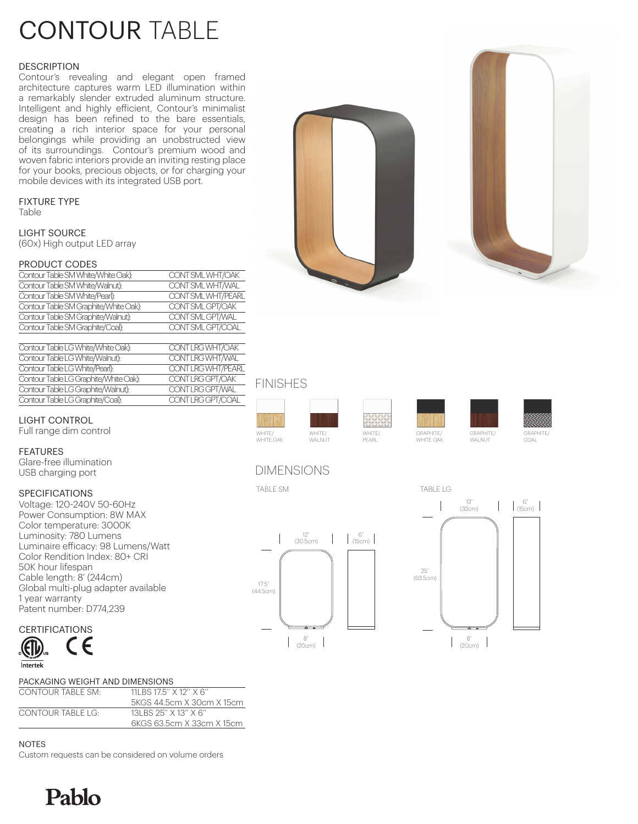# CONTOUR TABLE

# **DESCRIPTION**

Contour's revealing and elegant open framed architecture captures warm LED illumination within a remarkably slender extruded aluminum structure. Intelligent and highly efficient, Contour's minimalist design has been refined to the bare essentials, creating a rich interior space for your personal belongings while providing an unobstructed view of its surroundings. Contour's premium wood and woven fabric interiors provide an inviting resting place for your books, precious objects, or for charging your mobile devices with its integrated USB port.

# FIXTURE TYPE

Table

LIGHT SOURCE (60x) High output LED array

## PRODUCT CODES

| Contour Table SM White/White Oak):    | CONT SML WHT/OAK   |
|---------------------------------------|--------------------|
| Contour Table SM White/Walnut):       | CONT SML WHT/WAL   |
| Contour Table SM White/Pearl):        | CONT SML WHT/PEARL |
| Contour Table SM Graphite/White Oak): | CONT SML GPT/OAK   |
| Contour Table SM Graphite/Walnut):    | CONT SML GPT/WAL   |
| Contour Table SM Graphite/Coal):      | CONT SML GPT/COAL  |
|                                       |                    |

| Contour Table LG White/White Oak):    | CONT LRG WHT/OAK   |
|---------------------------------------|--------------------|
| Contour Table LG White/Walnut):       | CONT LRG WHT/WAL   |
| Contour Table LG White/Pearl):        | CONT LRG WHT/PEARL |
| Contour Table LG Graphite/White Oak): | CONT LRG GPT/OAK   |
| Contour Table LG Graphite/Walnut):    | CONT LRG GPT/WAL   |
| Contour Table LG Graphite/Coal):      | CONT LRG GPT/COAL  |

# LIGHT CONTROL

Full range dim control

# FEATURES

Glare-free illumination USB charging port

# SPECIFICATIONS

Voltage: 120-240V 50-60Hz Power Consumption: 8W MAX Color temperature: 3000K Luminosity: 780 Lumens Luminaire efficacy: 98 Lumens/Watt Color Rendition Index: 80+ CRI 50K hour lifespan Cable length: 8' (244cm) Global multi-plug adapter available 1 year warranty Patent number: D774,239

# CERTIFICATIONS



Pablo

## PACKAGING WEIGHT AND DIMENSIONS CONTOUR TABLE SM: 11LBS 17.5" X 12" X 6' 5KGS 44.5cm X 30cm X 15cm CONTOUR TABLE LG: 13LBS 25'' X 13'' X 6''

| :ONTOUR TABI F I G: | 13LBS 25" X 13" X 6"      |
|---------------------|---------------------------|
|                     | 6KGS 63.5cm X 33cm X 15cm |
|                     |                           |

### NOTES

Custom requests can be considered on volume orders











COAL

# DIMENSIONS





# FINISHES